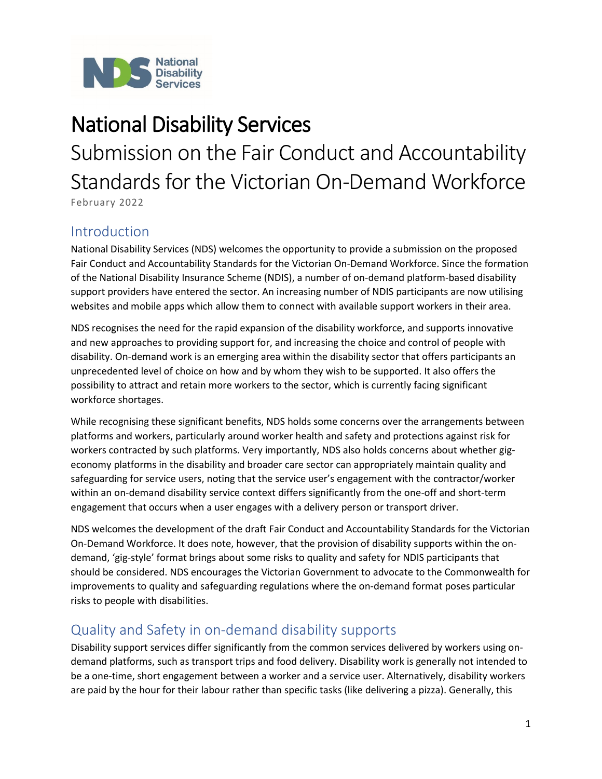

# National Disability Services

Submission on the Fair Conduct and Accountability Standards for the Victorian On-Demand Workforce

February 2022

#### Introduction

National Disability Services (NDS) welcomes the opportunity to provide a submission on the proposed Fair Conduct and Accountability Standards for the Victorian On-Demand Workforce. Since the formation of the National Disability Insurance Scheme (NDIS), a number of on-demand platform-based disability support providers have entered the sector. An increasing number of NDIS participants are now utilising websites and mobile apps which allow them to connect with available support workers in their area.

NDS recognises the need for the rapid expansion of the disability workforce, and supports innovative and new approaches to providing support for, and increasing the choice and control of people with disability. On-demand work is an emerging area within the disability sector that offers participants an unprecedented level of choice on how and by whom they wish to be supported. It also offers the possibility to attract and retain more workers to the sector, which is currently facing significant workforce shortages.

While recognising these significant benefits, NDS holds some concerns over the arrangements between platforms and workers, particularly around worker health and safety and protections against risk for workers contracted by such platforms. Very importantly, NDS also holds concerns about whether gigeconomy platforms in the disability and broader care sector can appropriately maintain quality and safeguarding for service users, noting that the service user's engagement with the contractor/worker within an on-demand disability service context differs significantly from the one-off and short-term engagement that occurs when a user engages with a delivery person or transport driver.

NDS welcomes the development of the draft Fair Conduct and Accountability Standards for the Victorian On-Demand Workforce. It does note, however, that the provision of disability supports within the ondemand, 'gig-style' format brings about some risks to quality and safety for NDIS participants that should be considered. NDS encourages the Victorian Government to advocate to the Commonwealth for improvements to quality and safeguarding regulations where the on-demand format poses particular risks to people with disabilities.

#### Quality and Safety in on-demand disability supports

Disability support services differ significantly from the common services delivered by workers using ondemand platforms, such as transport trips and food delivery. Disability work is generally not intended to be a one-time, short engagement between a worker and a service user. Alternatively, disability workers are paid by the hour for their labour rather than specific tasks (like delivering a pizza). Generally, this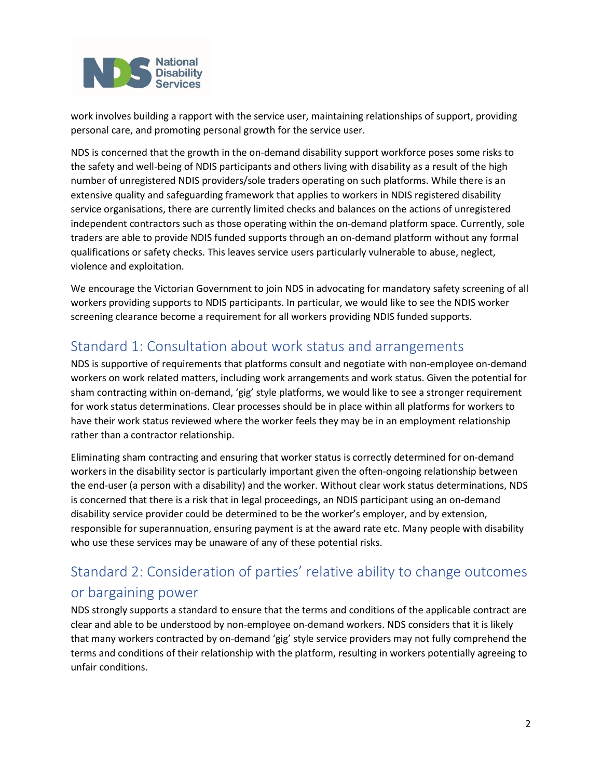

work involves building a rapport with the service user, maintaining relationships of support, providing personal care, and promoting personal growth for the service user.

NDS is concerned that the growth in the on-demand disability support workforce poses some risks to the safety and well-being of NDIS participants and others living with disability as a result of the high number of unregistered NDIS providers/sole traders operating on such platforms. While there is an extensive quality and safeguarding framework that applies to workers in NDIS registered disability service organisations, there are currently limited checks and balances on the actions of unregistered independent contractors such as those operating within the on-demand platform space. Currently, sole traders are able to provide NDIS funded supports through an on-demand platform without any formal qualifications or safety checks. This leaves service users particularly vulnerable to abuse, neglect, violence and exploitation.

We encourage the Victorian Government to join NDS in advocating for mandatory safety screening of all workers providing supports to NDIS participants. In particular, we would like to see the NDIS worker screening clearance become a requirement for all workers providing NDIS funded supports.

### Standard 1: Consultation about work status and arrangements

NDS is supportive of requirements that platforms consult and negotiate with non-employee on-demand workers on work related matters, including work arrangements and work status. Given the potential for sham contracting within on-demand, 'gig' style platforms, we would like to see a stronger requirement for work status determinations. Clear processes should be in place within all platforms for workers to have their work status reviewed where the worker feels they may be in an employment relationship rather than a contractor relationship.

Eliminating sham contracting and ensuring that worker status is correctly determined for on-demand workers in the disability sector is particularly important given the often-ongoing relationship between the end-user (a person with a disability) and the worker. Without clear work status determinations, NDS is concerned that there is a risk that in legal proceedings, an NDIS participant using an on-demand disability service provider could be determined to be the worker's employer, and by extension, responsible for superannuation, ensuring payment is at the award rate etc. Many people with disability who use these services may be unaware of any of these potential risks.

# Standard 2: Consideration of parties' relative ability to change outcomes or bargaining power

NDS strongly supports a standard to ensure that the terms and conditions of the applicable contract are clear and able to be understood by non-employee on-demand workers. NDS considers that it is likely that many workers contracted by on-demand 'gig' style service providers may not fully comprehend the terms and conditions of their relationship with the platform, resulting in workers potentially agreeing to unfair conditions.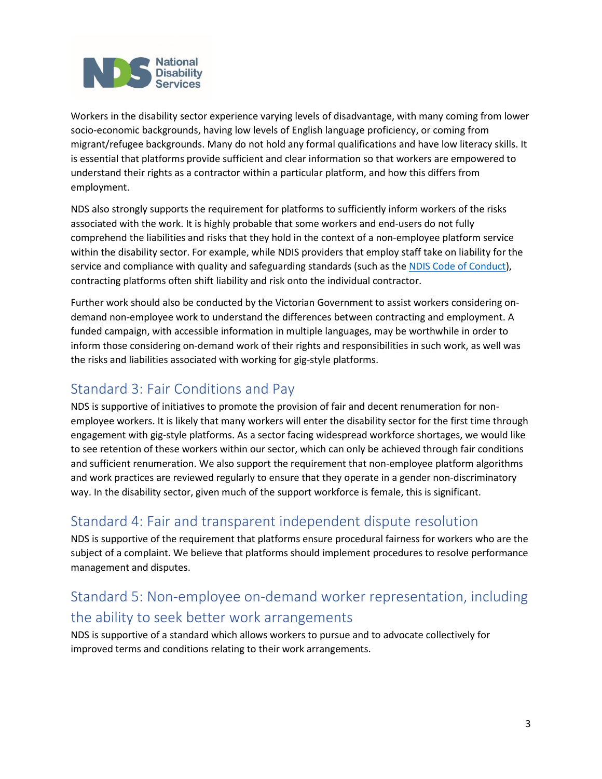

Workers in the disability sector experience varying levels of disadvantage, with many coming from lower socio-economic backgrounds, having low levels of English language proficiency, or coming from migrant/refugee backgrounds. Many do not hold any formal qualifications and have low literacy skills. It is essential that platforms provide sufficient and clear information so that workers are empowered to understand their rights as a contractor within a particular platform, and how this differs from employment.

NDS also strongly supports the requirement for platforms to sufficiently inform workers of the risks associated with the work. It is highly probable that some workers and end-users do not fully comprehend the liabilities and risks that they hold in the context of a non-employee platform service within the disability sector. For example, while NDIS providers that employ staff take on liability for the service and compliance with quality and safeguarding standards (such as the [NDIS Code of Conduct\)](https://www.ndiscommission.gov.au/providers/ndis-code-conduct), contracting platforms often shift liability and risk onto the individual contractor.

Further work should also be conducted by the Victorian Government to assist workers considering ondemand non-employee work to understand the differences between contracting and employment. A funded campaign, with accessible information in multiple languages, may be worthwhile in order to inform those considering on-demand work of their rights and responsibilities in such work, as well was the risks and liabilities associated with working for gig-style platforms.

#### Standard 3: Fair Conditions and Pay

NDS is supportive of initiatives to promote the provision of fair and decent renumeration for nonemployee workers. It is likely that many workers will enter the disability sector for the first time through engagement with gig-style platforms. As a sector facing widespread workforce shortages, we would like to see retention of these workers within our sector, which can only be achieved through fair conditions and sufficient renumeration. We also support the requirement that non-employee platform algorithms and work practices are reviewed regularly to ensure that they operate in a gender non-discriminatory way. In the disability sector, given much of the support workforce is female, this is significant.

#### Standard 4: Fair and transparent independent dispute resolution

NDS is supportive of the requirement that platforms ensure procedural fairness for workers who are the subject of a complaint. We believe that platforms should implement procedures to resolve performance management and disputes.

# Standard 5: Non-employee on-demand worker representation, including the ability to seek better work arrangements

NDS is supportive of a standard which allows workers to pursue and to advocate collectively for improved terms and conditions relating to their work arrangements.